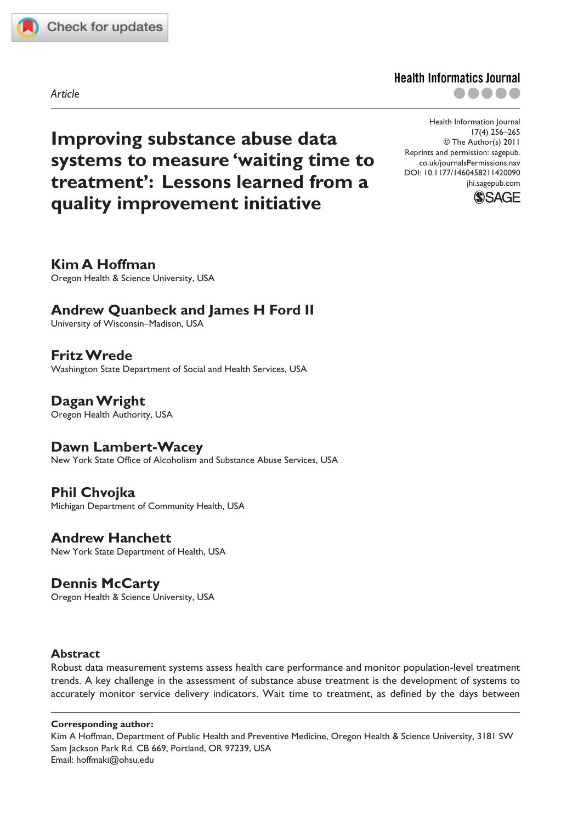

*Article*

# **Improving substance abuse data systems to measure 'waiting time to treatment': Lessons learned from a quality improvement initiative**

Health Information Journal 17(4) 256–265 © The Author(s) 2011 Reprints and permission: sagepub. co.uk/journalsPermissions.nav DOI: 10.1177/1460458211420090 jhi.sagepub.com

**Health Informatics Journal** 

.....



**Kim A Hoffman** Oregon Health & Science University, USA

# **Andrew Quanbeck and James H Ford II**

University of Wisconsin–Madison, USA

**Fritz Wrede** Washington State Department of Social and Health Services, USA

**Dagan Wright** Oregon Health Authority, USA

# **Dawn Lambert-Wacey**

New York State Office of Alcoholism and Substance Abuse Services, USA

**Phil Chvojka** Michigan Department of Community Health, USA

**Andrew Hanchett** New York State Department of Health, USA

**Dennis McCarty** Oregon Health & Science University, USA

# **Abstract**

Robust data measurement systems assess health care performance and monitor population-level treatment trends. A key challenge in the assessment of substance abuse treatment is the development of systems to accurately monitor service delivery indicators. Wait time to treatment, as defined by the days between

**Corresponding author:**

Kim A Hoffman, Department of Public Health and Preventive Medicine, Oregon Health & Science University, 3181 SW Sam Jackson Park Rd. CB 669, Portland, OR 97239, USA Email: hoffmaki@ohsu.edu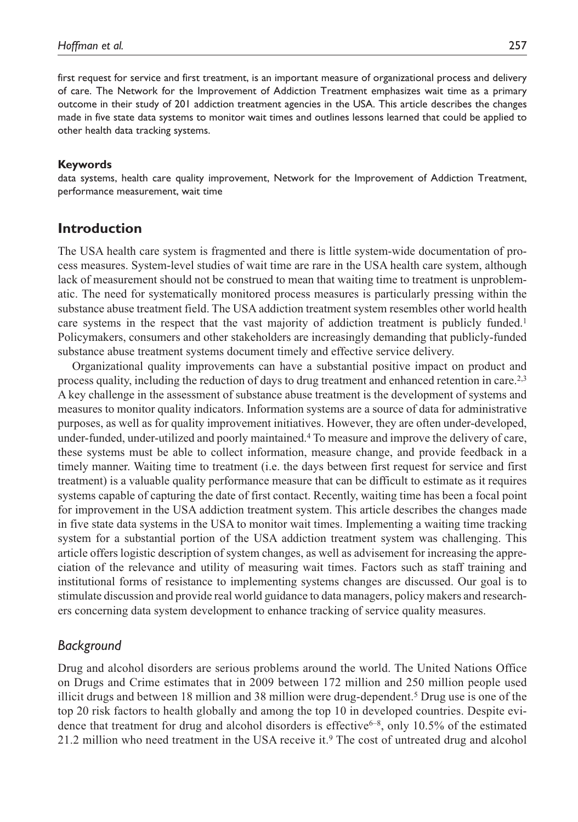first request for service and first treatment, is an important measure of organizational process and delivery of care. The Network for the Improvement of Addiction Treatment emphasizes wait time as a primary outcome in their study of 201 addiction treatment agencies in the USA. This article describes the changes made in five state data systems to monitor wait times and outlines lessons learned that could be applied to other health data tracking systems.

#### **Keywords**

data systems, health care quality improvement, Network for the Improvement of Addiction Treatment, performance measurement, wait time

### **Introduction**

The USA health care system is fragmented and there is little system-wide documentation of process measures. System-level studies of wait time are rare in the USA health care system, although lack of measurement should not be construed to mean that waiting time to treatment is unproblematic. The need for systematically monitored process measures is particularly pressing within the substance abuse treatment field. The USA addiction treatment system resembles other world health care systems in the respect that the vast majority of addiction treatment is publicly funded.<sup>1</sup> Policymakers, consumers and other stakeholders are increasingly demanding that publicly-funded substance abuse treatment systems document timely and effective service delivery.

Organizational quality improvements can have a substantial positive impact on product and process quality, including the reduction of days to drug treatment and enhanced retention in care.<sup>2,3</sup> A key challenge in the assessment of substance abuse treatment is the development of systems and measures to monitor quality indicators. Information systems are a source of data for administrative purposes, as well as for quality improvement initiatives. However, they are often under-developed, under-funded, under-utilized and poorly maintained.4 To measure and improve the delivery of care, these systems must be able to collect information, measure change, and provide feedback in a timely manner. Waiting time to treatment (i.e. the days between first request for service and first treatment) is a valuable quality performance measure that can be difficult to estimate as it requires systems capable of capturing the date of first contact. Recently, waiting time has been a focal point for improvement in the USA addiction treatment system. This article describes the changes made in five state data systems in the USA to monitor wait times. Implementing a waiting time tracking system for a substantial portion of the USA addiction treatment system was challenging. This article offers logistic description of system changes, as well as advisement for increasing the appreciation of the relevance and utility of measuring wait times. Factors such as staff training and institutional forms of resistance to implementing systems changes are discussed. Our goal is to stimulate discussion and provide real world guidance to data managers, policy makers and researchers concerning data system development to enhance tracking of service quality measures.

#### *Background*

Drug and alcohol disorders are serious problems around the world. The United Nations Office on Drugs and Crime estimates that in 2009 between 172 million and 250 million people used illicit drugs and between 18 million and 38 million were drug-dependent.<sup>5</sup> Drug use is one of the top 20 risk factors to health globally and among the top 10 in developed countries. Despite evidence that treatment for drug and alcohol disorders is effective<sup>6–8</sup>, only 10.5% of the estimated 21.2 million who need treatment in the USA receive it.<sup>9</sup> The cost of untreated drug and alcohol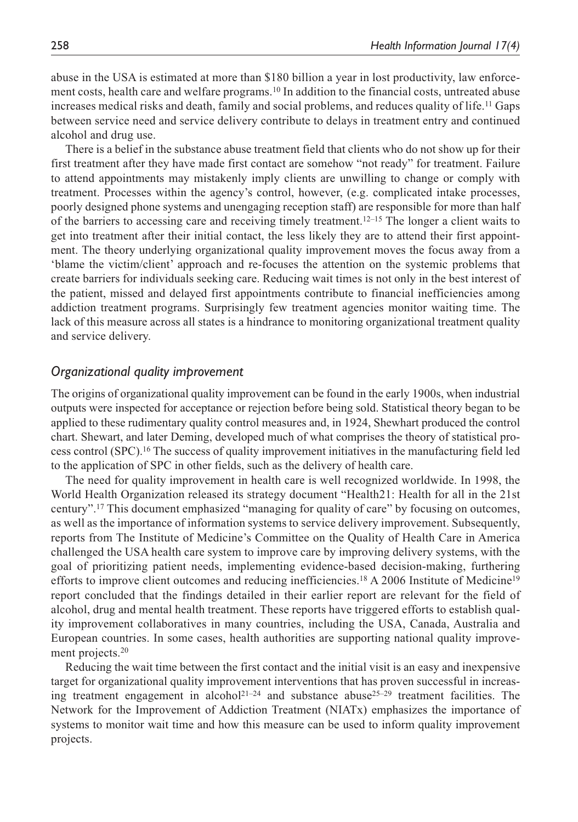abuse in the USA is estimated at more than \$180 billion a year in lost productivity, law enforcement costs, health care and welfare programs.10 In addition to the financial costs, untreated abuse increases medical risks and death, family and social problems, and reduces quality of life.11 Gaps between service need and service delivery contribute to delays in treatment entry and continued alcohol and drug use.

There is a belief in the substance abuse treatment field that clients who do not show up for their first treatment after they have made first contact are somehow "not ready" for treatment. Failure to attend appointments may mistakenly imply clients are unwilling to change or comply with treatment. Processes within the agency's control, however, (e.g. complicated intake processes, poorly designed phone systems and unengaging reception staff) are responsible for more than half of the barriers to accessing care and receiving timely treatment.12–15 The longer a client waits to get into treatment after their initial contact, the less likely they are to attend their first appointment. The theory underlying organizational quality improvement moves the focus away from a 'blame the victim/client' approach and re-focuses the attention on the systemic problems that create barriers for individuals seeking care. Reducing wait times is not only in the best interest of the patient, missed and delayed first appointments contribute to financial inefficiencies among addiction treatment programs. Surprisingly few treatment agencies monitor waiting time. The lack of this measure across all states is a hindrance to monitoring organizational treatment quality and service delivery.

### *Organizational quality improvement*

The origins of organizational quality improvement can be found in the early 1900s, when industrial outputs were inspected for acceptance or rejection before being sold. Statistical theory began to be applied to these rudimentary quality control measures and, in 1924, Shewhart produced the control chart. Shewart, and later Deming, developed much of what comprises the theory of statistical process control (SPC).16 The success of quality improvement initiatives in the manufacturing field led to the application of SPC in other fields, such as the delivery of health care.

The need for quality improvement in health care is well recognized worldwide. In 1998, the World Health Organization released its strategy document "Health21: Health for all in the 21st century".17 This document emphasized "managing for quality of care" by focusing on outcomes, as well as the importance of information systems to service delivery improvement. Subsequently, reports from The Institute of Medicine's Committee on the Quality of Health Care in America challenged the USA health care system to improve care by improving delivery systems, with the goal of prioritizing patient needs, implementing evidence-based decision-making, furthering efforts to improve client outcomes and reducing inefficiencies.<sup>18</sup> A 2006 Institute of Medicine<sup>19</sup> report concluded that the findings detailed in their earlier report are relevant for the field of alcohol, drug and mental health treatment. These reports have triggered efforts to establish quality improvement collaboratives in many countries, including the USA, Canada, Australia and European countries. In some cases, health authorities are supporting national quality improvement projects.<sup>20</sup>

Reducing the wait time between the first contact and the initial visit is an easy and inexpensive target for organizational quality improvement interventions that has proven successful in increasing treatment engagement in alcohol<sup>21–24</sup> and substance abuse<sup>25–29</sup> treatment facilities. The Network for the Improvement of Addiction Treatment (NIATx) emphasizes the importance of systems to monitor wait time and how this measure can be used to inform quality improvement projects.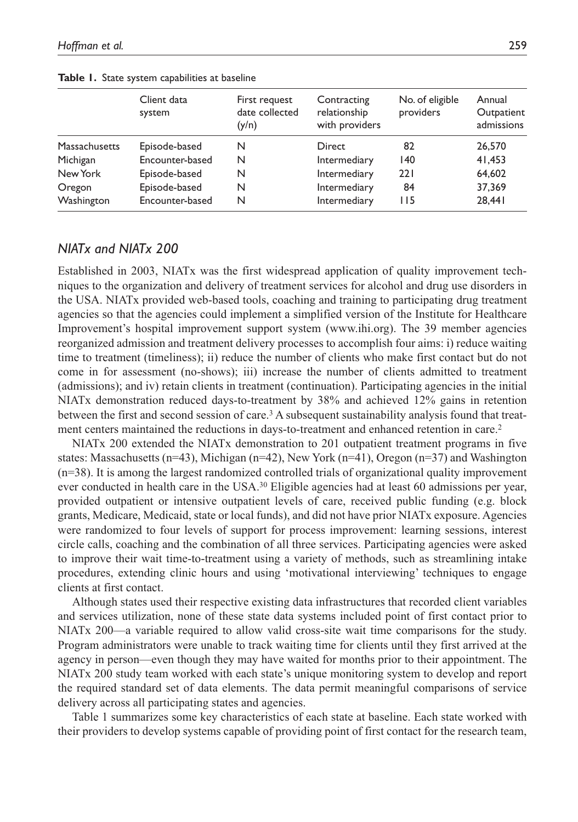|               | Client data<br>system | First request<br>date collected<br>(y/n) | Contracting<br>relationship<br>with providers | No. of eligible<br>providers | Annual<br>Outpatient<br>admissions |
|---------------|-----------------------|------------------------------------------|-----------------------------------------------|------------------------------|------------------------------------|
| Massachusetts | Episode-based         | N                                        | Direct                                        | 82                           | 26,570                             |
| Michigan      | Encounter-based       | N                                        | Intermediary                                  | 140                          | 41.453                             |
| New York      | Episode-based         | N                                        | Intermediary                                  | 221                          | 64.602                             |
| Oregon        | Episode-based         | N                                        | Intermediary                                  | 84                           | 37,369                             |
| Washington    | Encounter-based       | N                                        | Intermediary                                  | l I 5                        | 28,441                             |

**Table 1.** State system capabilities at baseline

#### *NIATx and NIATx 200*

Established in 2003, NIATx was the first widespread application of quality improvement techniques to the organization and delivery of treatment services for alcohol and drug use disorders in the USA. NIATx provided web-based tools, coaching and training to participating drug treatment agencies so that the agencies could implement a simplified version of the Institute for Healthcare Improvement's hospital improvement support system (www.ihi.org). The 39 member agencies reorganized admission and treatment delivery processes to accomplish four aims: i) reduce waiting time to treatment (timeliness); ii) reduce the number of clients who make first contact but do not come in for assessment (no-shows); iii) increase the number of clients admitted to treatment (admissions); and iv) retain clients in treatment (continuation). Participating agencies in the initial NIATx demonstration reduced days-to-treatment by 38% and achieved 12% gains in retention between the first and second session of care.3 A subsequent sustainability analysis found that treatment centers maintained the reductions in days-to-treatment and enhanced retention in care.<sup>2</sup>

NIATx 200 extended the NIATx demonstration to 201 outpatient treatment programs in five states: Massachusetts ( $n=43$ ), Michigan ( $n=42$ ), New York ( $n=41$ ), Oregon ( $n=37$ ) and Washington (n=38). It is among the largest randomized controlled trials of organizational quality improvement ever conducted in health care in the USA.30 Eligible agencies had at least 60 admissions per year, provided outpatient or intensive outpatient levels of care, received public funding (e.g. block grants, Medicare, Medicaid, state or local funds), and did not have prior NIATx exposure. Agencies were randomized to four levels of support for process improvement: learning sessions, interest circle calls, coaching and the combination of all three services. Participating agencies were asked to improve their wait time-to-treatment using a variety of methods, such as streamlining intake procedures, extending clinic hours and using 'motivational interviewing' techniques to engage clients at first contact.

Although states used their respective existing data infrastructures that recorded client variables and services utilization, none of these state data systems included point of first contact prior to NIATx 200—a variable required to allow valid cross-site wait time comparisons for the study. Program administrators were unable to track waiting time for clients until they first arrived at the agency in person—even though they may have waited for months prior to their appointment. The NIATx 200 study team worked with each state's unique monitoring system to develop and report the required standard set of data elements. The data permit meaningful comparisons of service delivery across all participating states and agencies.

Table 1 summarizes some key characteristics of each state at baseline. Each state worked with their providers to develop systems capable of providing point of first contact for the research team,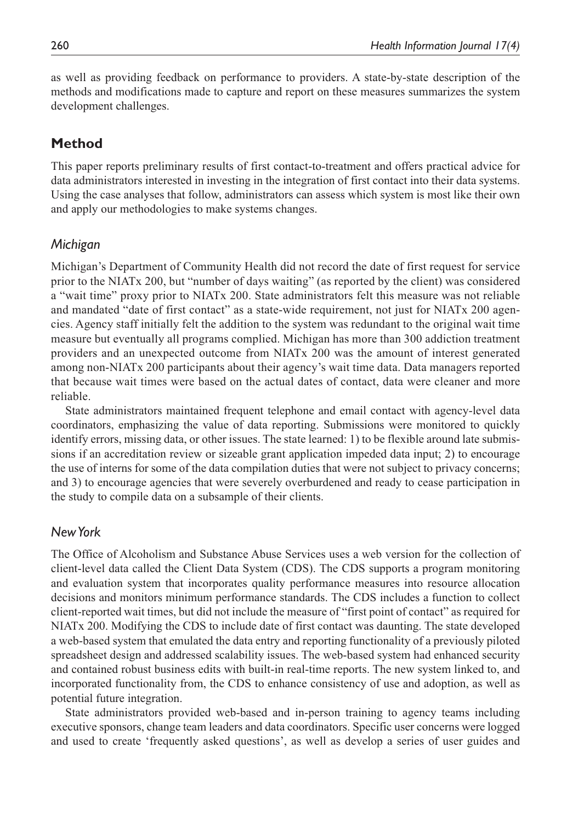as well as providing feedback on performance to providers. A state-by-state description of the methods and modifications made to capture and report on these measures summarizes the system development challenges.

# **Method**

This paper reports preliminary results of first contact-to-treatment and offers practical advice for data administrators interested in investing in the integration of first contact into their data systems. Using the case analyses that follow, administrators can assess which system is most like their own and apply our methodologies to make systems changes.

#### *Michigan*

Michigan's Department of Community Health did not record the date of first request for service prior to the NIATx 200, but "number of days waiting" (as reported by the client) was considered a "wait time" proxy prior to NIATx 200. State administrators felt this measure was not reliable and mandated "date of first contact" as a state-wide requirement, not just for NIATx 200 agencies. Agency staff initially felt the addition to the system was redundant to the original wait time measure but eventually all programs complied. Michigan has more than 300 addiction treatment providers and an unexpected outcome from NIATx 200 was the amount of interest generated among non-NIATx 200 participants about their agency's wait time data. Data managers reported that because wait times were based on the actual dates of contact, data were cleaner and more reliable.

State administrators maintained frequent telephone and email contact with agency-level data coordinators, emphasizing the value of data reporting. Submissions were monitored to quickly identify errors, missing data, or other issues. The state learned: 1) to be flexible around late submissions if an accreditation review or sizeable grant application impeded data input; 2) to encourage the use of interns for some of the data compilation duties that were not subject to privacy concerns; and 3) to encourage agencies that were severely overburdened and ready to cease participation in the study to compile data on a subsample of their clients.

#### *New York*

The Office of Alcoholism and Substance Abuse Services uses a web version for the collection of client-level data called the Client Data System (CDS). The CDS supports a program monitoring and evaluation system that incorporates quality performance measures into resource allocation decisions and monitors minimum performance standards. The CDS includes a function to collect client-reported wait times, but did not include the measure of "first point of contact" as required for NIATx 200. Modifying the CDS to include date of first contact was daunting. The state developed a web-based system that emulated the data entry and reporting functionality of a previously piloted spreadsheet design and addressed scalability issues. The web-based system had enhanced security and contained robust business edits with built-in real-time reports. The new system linked to, and incorporated functionality from, the CDS to enhance consistency of use and adoption, as well as potential future integration.

State administrators provided web-based and in-person training to agency teams including executive sponsors, change team leaders and data coordinators. Specific user concerns were logged and used to create 'frequently asked questions', as well as develop a series of user guides and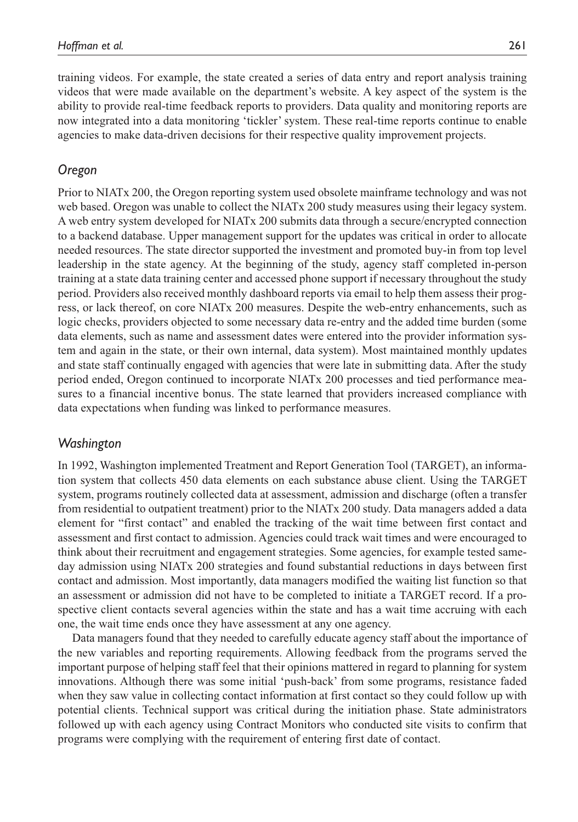training videos. For example, the state created a series of data entry and report analysis training videos that were made available on the department's website. A key aspect of the system is the ability to provide real-time feedback reports to providers. Data quality and monitoring reports are now integrated into a data monitoring 'tickler' system. These real-time reports continue to enable agencies to make data-driven decisions for their respective quality improvement projects.

# *Oregon*

Prior to NIATx 200, the Oregon reporting system used obsolete mainframe technology and was not web based. Oregon was unable to collect the NIATx 200 study measures using their legacy system. A web entry system developed for NIATx 200 submits data through a secure/encrypted connection to a backend database. Upper management support for the updates was critical in order to allocate needed resources. The state director supported the investment and promoted buy-in from top level leadership in the state agency. At the beginning of the study, agency staff completed in-person training at a state data training center and accessed phone support if necessary throughout the study period. Providers also received monthly dashboard reports via email to help them assess their progress, or lack thereof, on core NIATx 200 measures. Despite the web-entry enhancements, such as logic checks, providers objected to some necessary data re-entry and the added time burden (some data elements, such as name and assessment dates were entered into the provider information system and again in the state, or their own internal, data system). Most maintained monthly updates and state staff continually engaged with agencies that were late in submitting data. After the study period ended, Oregon continued to incorporate NIATx 200 processes and tied performance measures to a financial incentive bonus. The state learned that providers increased compliance with data expectations when funding was linked to performance measures.

# *Washington*

In 1992, Washington implemented Treatment and Report Generation Tool (TARGET), an information system that collects 450 data elements on each substance abuse client. Using the TARGET system, programs routinely collected data at assessment, admission and discharge (often a transfer from residential to outpatient treatment) prior to the NIATx 200 study. Data managers added a data element for "first contact" and enabled the tracking of the wait time between first contact and assessment and first contact to admission. Agencies could track wait times and were encouraged to think about their recruitment and engagement strategies. Some agencies, for example tested sameday admission using NIATx 200 strategies and found substantial reductions in days between first contact and admission. Most importantly, data managers modified the waiting list function so that an assessment or admission did not have to be completed to initiate a TARGET record. If a prospective client contacts several agencies within the state and has a wait time accruing with each one, the wait time ends once they have assessment at any one agency.

Data managers found that they needed to carefully educate agency staff about the importance of the new variables and reporting requirements. Allowing feedback from the programs served the important purpose of helping staff feel that their opinions mattered in regard to planning for system innovations. Although there was some initial 'push-back' from some programs, resistance faded when they saw value in collecting contact information at first contact so they could follow up with potential clients. Technical support was critical during the initiation phase. State administrators followed up with each agency using Contract Monitors who conducted site visits to confirm that programs were complying with the requirement of entering first date of contact.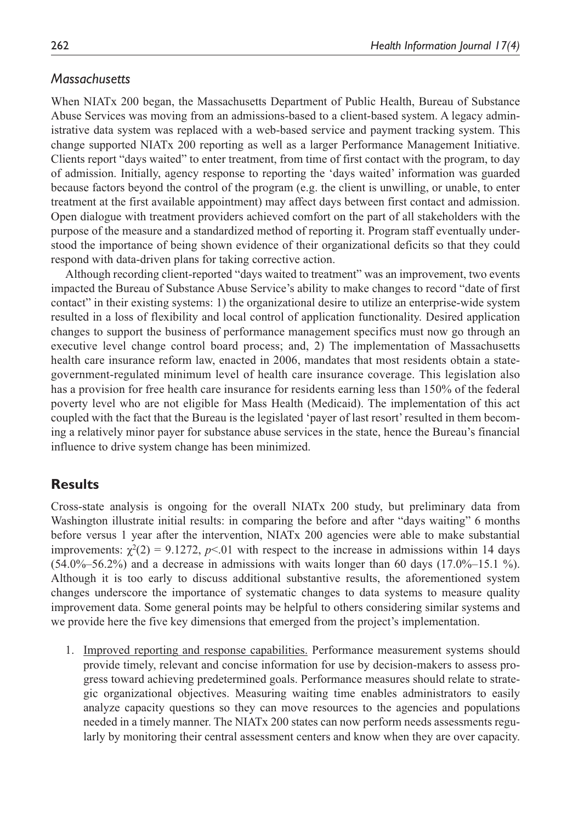#### *Massachusetts*

When NIATx 200 began, the Massachusetts Department of Public Health, Bureau of Substance Abuse Services was moving from an admissions-based to a client-based system. A legacy administrative data system was replaced with a web-based service and payment tracking system. This change supported NIATx 200 reporting as well as a larger Performance Management Initiative. Clients report "days waited" to enter treatment, from time of first contact with the program, to day of admission. Initially, agency response to reporting the 'days waited' information was guarded because factors beyond the control of the program (e.g. the client is unwilling, or unable, to enter treatment at the first available appointment) may affect days between first contact and admission. Open dialogue with treatment providers achieved comfort on the part of all stakeholders with the purpose of the measure and a standardized method of reporting it. Program staff eventually understood the importance of being shown evidence of their organizational deficits so that they could respond with data-driven plans for taking corrective action.

Although recording client-reported "days waited to treatment" was an improvement, two events impacted the Bureau of Substance Abuse Service's ability to make changes to record "date of first contact" in their existing systems: 1) the organizational desire to utilize an enterprise-wide system resulted in a loss of flexibility and local control of application functionality. Desired application changes to support the business of performance management specifics must now go through an executive level change control board process; and, 2) The implementation of Massachusetts health care insurance reform law, enacted in 2006, mandates that most residents obtain a stategovernment-regulated minimum level of health care insurance coverage. This legislation also has a provision for free health care insurance for residents earning less than 150% of the federal poverty level who are not eligible for Mass Health (Medicaid). The implementation of this act coupled with the fact that the Bureau is the legislated 'payer of last resort' resulted in them becoming a relatively minor payer for substance abuse services in the state, hence the Bureau's financial influence to drive system change has been minimized.

#### **Results**

Cross-state analysis is ongoing for the overall NIATx 200 study, but preliminary data from Washington illustrate initial results: in comparing the before and after "days waiting" 6 months before versus 1 year after the intervention, NIATx 200 agencies were able to make substantial improvements:  $\chi^2(2) = 9.1272$ ,  $p<01$  with respect to the increase in admissions within 14 days  $(54.0\% - 56.2\%)$  and a decrease in admissions with waits longer than 60 days  $(17.0\% - 15.1\%)$ . Although it is too early to discuss additional substantive results, the aforementioned system changes underscore the importance of systematic changes to data systems to measure quality improvement data. Some general points may be helpful to others considering similar systems and we provide here the five key dimensions that emerged from the project's implementation.

1. Improved reporting and response capabilities. Performance measurement systems should provide timely, relevant and concise information for use by decision-makers to assess progress toward achieving predetermined goals. Performance measures should relate to strategic organizational objectives. Measuring waiting time enables administrators to easily analyze capacity questions so they can move resources to the agencies and populations needed in a timely manner. The NIATx 200 states can now perform needs assessments regularly by monitoring their central assessment centers and know when they are over capacity.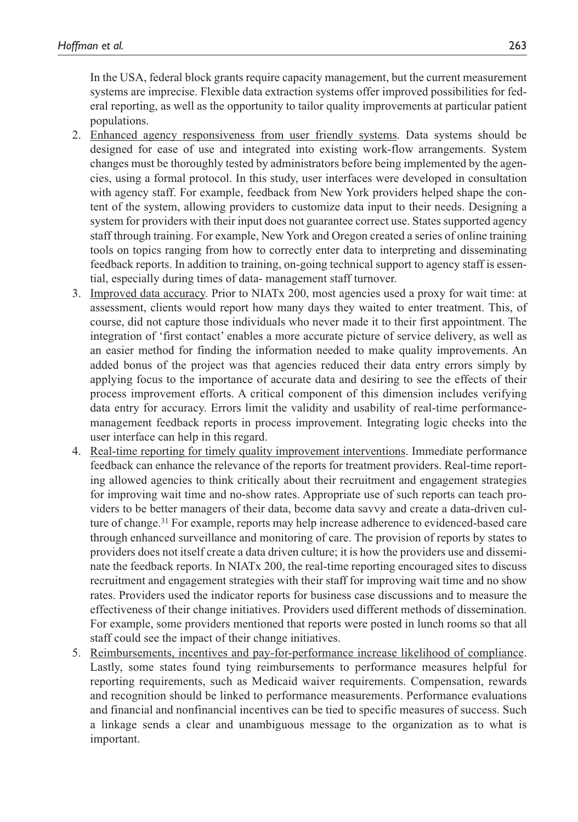In the USA, federal block grants require capacity management, but the current measurement systems are imprecise. Flexible data extraction systems offer improved possibilities for federal reporting, as well as the opportunity to tailor quality improvements at particular patient populations.

- 2. Enhanced agency responsiveness from user friendly systems. Data systems should be designed for ease of use and integrated into existing work-flow arrangements. System changes must be thoroughly tested by administrators before being implemented by the agencies, using a formal protocol. In this study, user interfaces were developed in consultation with agency staff. For example, feedback from New York providers helped shape the content of the system, allowing providers to customize data input to their needs. Designing a system for providers with their input does not guarantee correct use. States supported agency staff through training. For example, New York and Oregon created a series of online training tools on topics ranging from how to correctly enter data to interpreting and disseminating feedback reports. In addition to training, on-going technical support to agency staff is essential, especially during times of data- management staff turnover.
- 3. Improved data accuracy. Prior to NIATx 200, most agencies used a proxy for wait time: at assessment, clients would report how many days they waited to enter treatment. This, of course, did not capture those individuals who never made it to their first appointment. The integration of 'first contact' enables a more accurate picture of service delivery, as well as an easier method for finding the information needed to make quality improvements. An added bonus of the project was that agencies reduced their data entry errors simply by applying focus to the importance of accurate data and desiring to see the effects of their process improvement efforts. A critical component of this dimension includes verifying data entry for accuracy. Errors limit the validity and usability of real-time performancemanagement feedback reports in process improvement. Integrating logic checks into the user interface can help in this regard.
- 4. Real-time reporting for timely quality improvement interventions. Immediate performance feedback can enhance the relevance of the reports for treatment providers. Real-time reporting allowed agencies to think critically about their recruitment and engagement strategies for improving wait time and no-show rates. Appropriate use of such reports can teach providers to be better managers of their data, become data savvy and create a data-driven culture of change.<sup>31</sup> For example, reports may help increase adherence to evidenced-based care through enhanced surveillance and monitoring of care. The provision of reports by states to providers does not itself create a data driven culture; it is how the providers use and disseminate the feedback reports. In NIATx 200, the real-time reporting encouraged sites to discuss recruitment and engagement strategies with their staff for improving wait time and no show rates. Providers used the indicator reports for business case discussions and to measure the effectiveness of their change initiatives. Providers used different methods of dissemination. For example, some providers mentioned that reports were posted in lunch rooms so that all staff could see the impact of their change initiatives.
- 5. Reimbursements, incentives and pay-for-performance increase likelihood of compliance. Lastly, some states found tying reimbursements to performance measures helpful for reporting requirements, such as Medicaid waiver requirements. Compensation, rewards and recognition should be linked to performance measurements. Performance evaluations and financial and nonfinancial incentives can be tied to specific measures of success. Such a linkage sends a clear and unambiguous message to the organization as to what is important.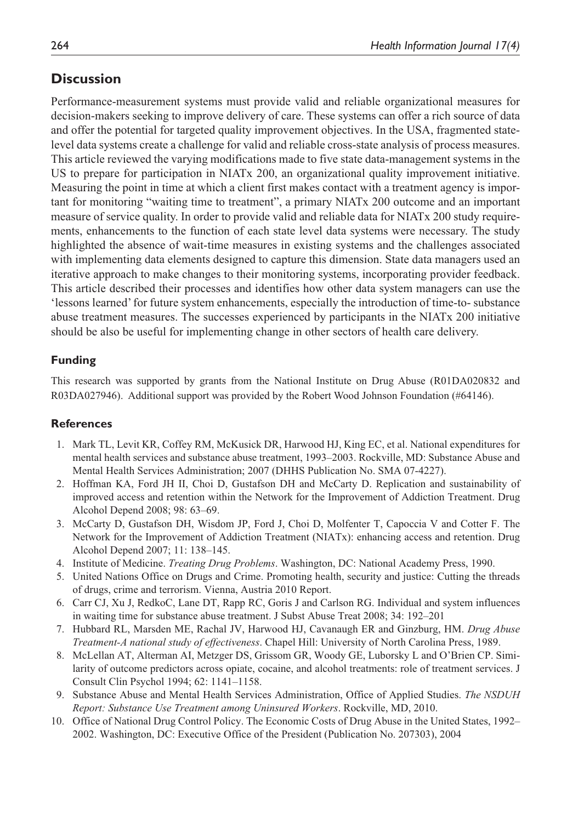# **Discussion**

Performance-measurement systems must provide valid and reliable organizational measures for decision-makers seeking to improve delivery of care. These systems can offer a rich source of data and offer the potential for targeted quality improvement objectives. In the USA, fragmented statelevel data systems create a challenge for valid and reliable cross-state analysis of process measures. This article reviewed the varying modifications made to five state data-management systems in the US to prepare for participation in NIATx 200, an organizational quality improvement initiative. Measuring the point in time at which a client first makes contact with a treatment agency is important for monitoring "waiting time to treatment", a primary NIATx 200 outcome and an important measure of service quality. In order to provide valid and reliable data for NIATx 200 study requirements, enhancements to the function of each state level data systems were necessary. The study highlighted the absence of wait-time measures in existing systems and the challenges associated with implementing data elements designed to capture this dimension. State data managers used an iterative approach to make changes to their monitoring systems, incorporating provider feedback. This article described their processes and identifies how other data system managers can use the 'lessons learned' for future system enhancements, especially the introduction of time-to- substance abuse treatment measures. The successes experienced by participants in the NIATx 200 initiative should be also be useful for implementing change in other sectors of health care delivery.

# **Funding**

This research was supported by grants from the National Institute on Drug Abuse (R01DA020832 and R03DA027946). Additional support was provided by the Robert Wood Johnson Foundation (#64146).

#### **References**

- 1. Mark TL, Levit KR, Coffey RM, McKusick DR, Harwood HJ, King EC, et al. National expenditures for mental health services and substance abuse treatment, 1993–2003. Rockville, MD: Substance Abuse and Mental Health Services Administration; 2007 (DHHS Publication No. SMA 07-4227).
- 2. Hoffman KA, Ford JH II, Choi D, Gustafson DH and McCarty D. Replication and sustainability of improved access and retention within the Network for the Improvement of Addiction Treatment. Drug Alcohol Depend 2008; 98: 63–69.
- 3. McCarty D, Gustafson DH, Wisdom JP, Ford J, Choi D, Molfenter T, Capoccia V and Cotter F. The Network for the Improvement of Addiction Treatment (NIATx): enhancing access and retention. Drug Alcohol Depend 2007; 11: 138–145.
- 4. Institute of Medicine. *Treating Drug Problems*. Washington, DC: National Academy Press, 1990.
- 5. United Nations Office on Drugs and Crime. Promoting health, security and justice: Cutting the threads of drugs, crime and terrorism. Vienna, Austria 2010 Report.
- 6. Carr CJ, Xu J, RedkoC, Lane DT, Rapp RC, Goris J and Carlson RG. Individual and system influences in waiting time for substance abuse treatment. J Subst Abuse Treat 2008; 34: 192–201
- 7. Hubbard RL, Marsden ME, Rachal JV, Harwood HJ, Cavanaugh ER and Ginzburg, HM. *Drug Abuse Treatment-A national study of effectiveness*. Chapel Hill: University of North Carolina Press, 1989.
- 8. McLellan AT, Alterman AI, Metzger DS, Grissom GR, Woody GE, Luborsky L and O'Brien CP. Similarity of outcome predictors across opiate, cocaine, and alcohol treatments: role of treatment services. J Consult Clin Psychol 1994; 62: 1141–1158.
- 9. Substance Abuse and Mental Health Services Administration, Office of Applied Studies. *The NSDUH Report: Substance Use Treatment among Uninsured Workers*. Rockville, MD, 2010.
- 10. Office of National Drug Control Policy. The Economic Costs of Drug Abuse in the United States, 1992– 2002. Washington, DC: Executive Office of the President (Publication No. 207303), 2004